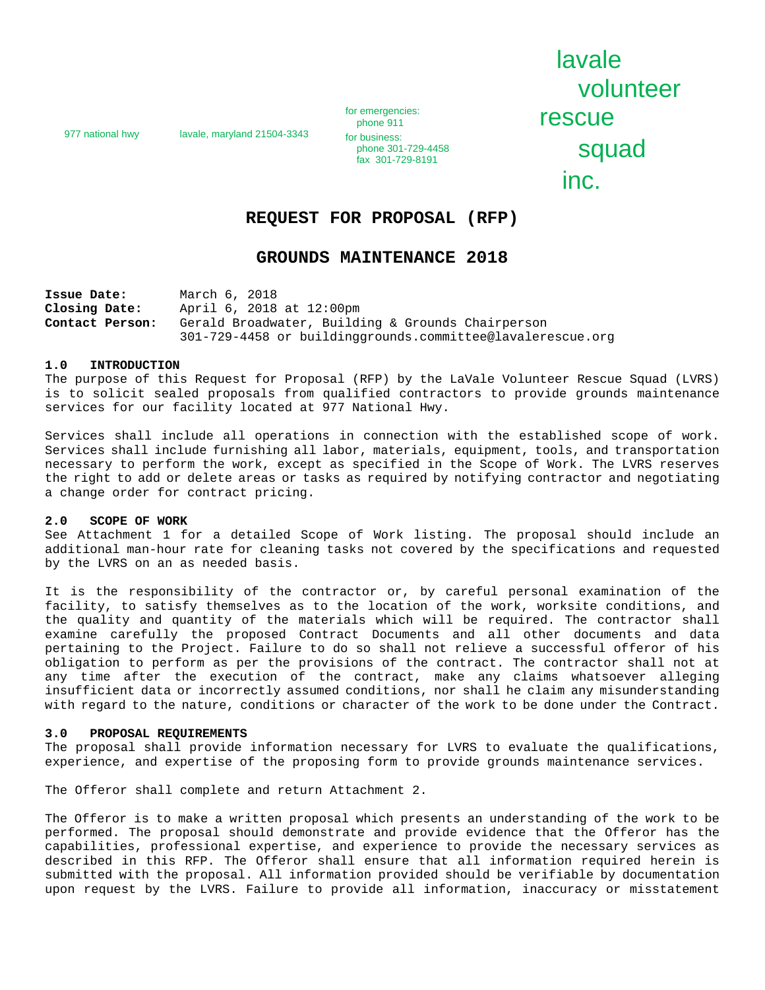977 national hwy lavale, maryland 21504-3343

for emergencies:<br>phone 911 FOSCUE<br>
phone 911 **rescue for business:** phone 301-729-4458

lavale volunteer phone 301-729-4458<br>fax 301-729-8191 **SQUAC** inc.

# **REQUEST FOR PROPOSAL (RFP)**

# **GROUNDS MAINTENANCE 2018**

**Issue Date:** March 6, 2018<br>**Closing Date:** April 6, 2018 **Closing Date:** April 6, 2018 at 12:00pm<br>**Contact Person:** Gerald Broadwater, Build Gerald Broadwater, Building & Grounds Chairperson 301-729-4458 or buildinggrounds.committee@lavalerescue.org

#### **1.0 INTRODUCTION**

The purpose of this Request for Proposal (RFP) by the LaVale Volunteer Rescue Squad (LVRS) is to solicit sealed proposals from qualified contractors to provide grounds maintenance services for our facility located at 977 National Hwy.

Services shall include all operations in connection with the established scope of work. Services shall include furnishing all labor, materials, equipment, tools, and transportation necessary to perform the work, except as specified in the Scope of Work. The LVRS reserves the right to add or delete areas or tasks as required by notifying contractor and negotiating a change order for contract pricing.

#### **2.0 SCOPE OF WORK**

See Attachment 1 for a detailed Scope of Work listing. The proposal should include an additional man-hour rate for cleaning tasks not covered by the specifications and requested by the LVRS on an as needed basis.

It is the responsibility of the contractor or, by careful personal examination of the facility, to satisfy themselves as to the location of the work, worksite conditions, and the quality and quantity of the materials which will be required. The contractor shall examine carefully the proposed Contract Documents and all other documents and data pertaining to the Project. Failure to do so shall not relieve a successful offeror of his obligation to perform as per the provisions of the contract. The contractor shall not at any time after the execution of the contract, make any claims whatsoever alleging insufficient data or incorrectly assumed conditions, nor shall he claim any misunderstanding with regard to the nature, conditions or character of the work to be done under the Contract.

#### **3.0 PROPOSAL REQUIREMENTS**

The proposal shall provide information necessary for LVRS to evaluate the qualifications, experience, and expertise of the proposing form to provide grounds maintenance services.

The Offeror shall complete and return Attachment 2.

The Offeror is to make a written proposal which presents an understanding of the work to be performed. The proposal should demonstrate and provide evidence that the Offeror has the capabilities, professional expertise, and experience to provide the necessary services as described in this RFP. The Offeror shall ensure that all information required herein is submitted with the proposal. All information provided should be verifiable by documentation upon request by the LVRS. Failure to provide all information, inaccuracy or misstatement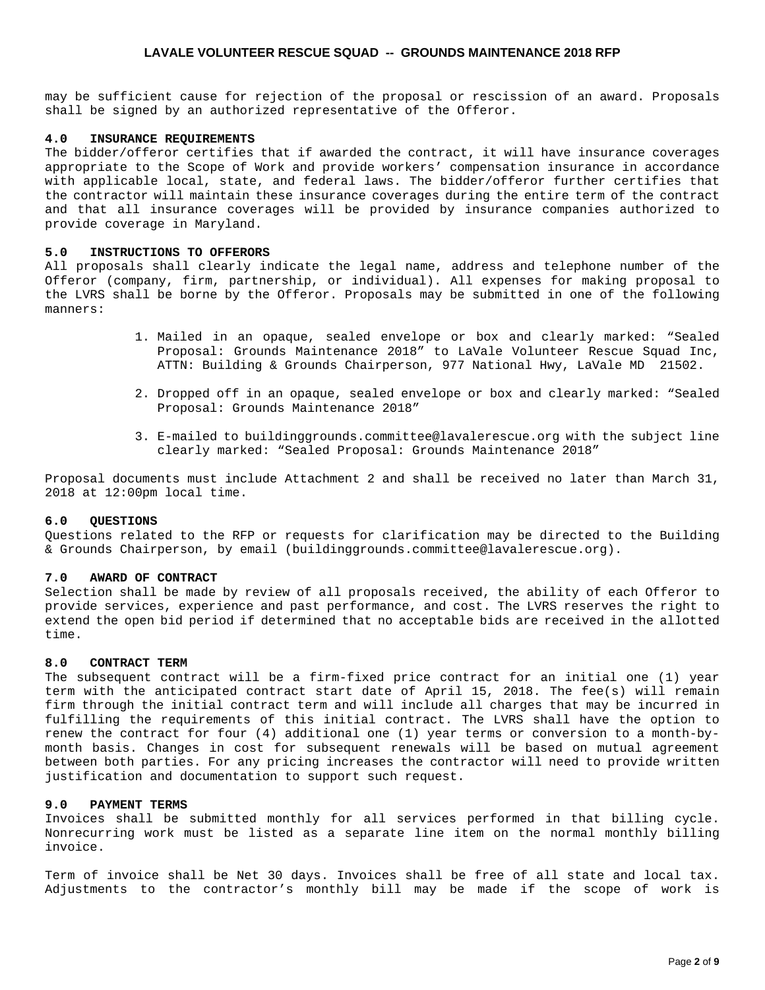may be sufficient cause for rejection of the proposal or rescission of an award. Proposals shall be signed by an authorized representative of the Offeror.

### **4.0 INSURANCE REQUIREMENTS**

The bidder/offeror certifies that if awarded the contract, it will have insurance coverages appropriate to the Scope of Work and provide workers' compensation insurance in accordance with applicable local, state, and federal laws. The bidder/offeror further certifies that the contractor will maintain these insurance coverages during the entire term of the contract and that all insurance coverages will be provided by insurance companies authorized to provide coverage in Maryland.

### **5.0 INSTRUCTIONS TO OFFERORS**

All proposals shall clearly indicate the legal name, address and telephone number of the Offeror (company, firm, partnership, or individual). All expenses for making proposal to the LVRS shall be borne by the Offeror. Proposals may be submitted in one of the following manners:

- 1. Mailed in an opaque, sealed envelope or box and clearly marked: "Sealed Proposal: Grounds Maintenance 2018" to LaVale Volunteer Rescue Squad Inc, ATTN: Building & Grounds Chairperson, 977 National Hwy, LaVale MD 21502.
- 2. Dropped off in an opaque, sealed envelope or box and clearly marked: "Sealed Proposal: Grounds Maintenance 2018"
- 3. E-mailed to buildinggrounds.committee@lavalerescue.org with the subject line clearly marked: "Sealed Proposal: Grounds Maintenance 2018"

Proposal documents must include Attachment 2 and shall be received no later than March 31, 2018 at 12:00pm local time.

### **6.0 QUESTIONS**

Questions related to the RFP or requests for clarification may be directed to the Building & Grounds Chairperson, by email (buildinggrounds.committee@lavalerescue.org).

#### **7.0 AWARD OF CONTRACT**

Selection shall be made by review of all proposals received, the ability of each Offeror to provide services, experience and past performance, and cost. The LVRS reserves the right to extend the open bid period if determined that no acceptable bids are received in the allotted time.

### **8.0 CONTRACT TERM**

The subsequent contract will be a firm-fixed price contract for an initial one (1) year term with the anticipated contract start date of April 15, 2018. The fee(s) will remain firm through the initial contract term and will include all charges that may be incurred in fulfilling the requirements of this initial contract. The LVRS shall have the option to renew the contract for four (4) additional one (1) year terms or conversion to a month-bymonth basis. Changes in cost for subsequent renewals will be based on mutual agreement between both parties. For any pricing increases the contractor will need to provide written justification and documentation to support such request.

### **9.0 PAYMENT TERMS**

Invoices shall be submitted monthly for all services performed in that billing cycle. Nonrecurring work must be listed as a separate line item on the normal monthly billing invoice.

Term of invoice shall be Net 30 days. Invoices shall be free of all state and local tax. Adjustments to the contractor's monthly bill may be made if the scope of work is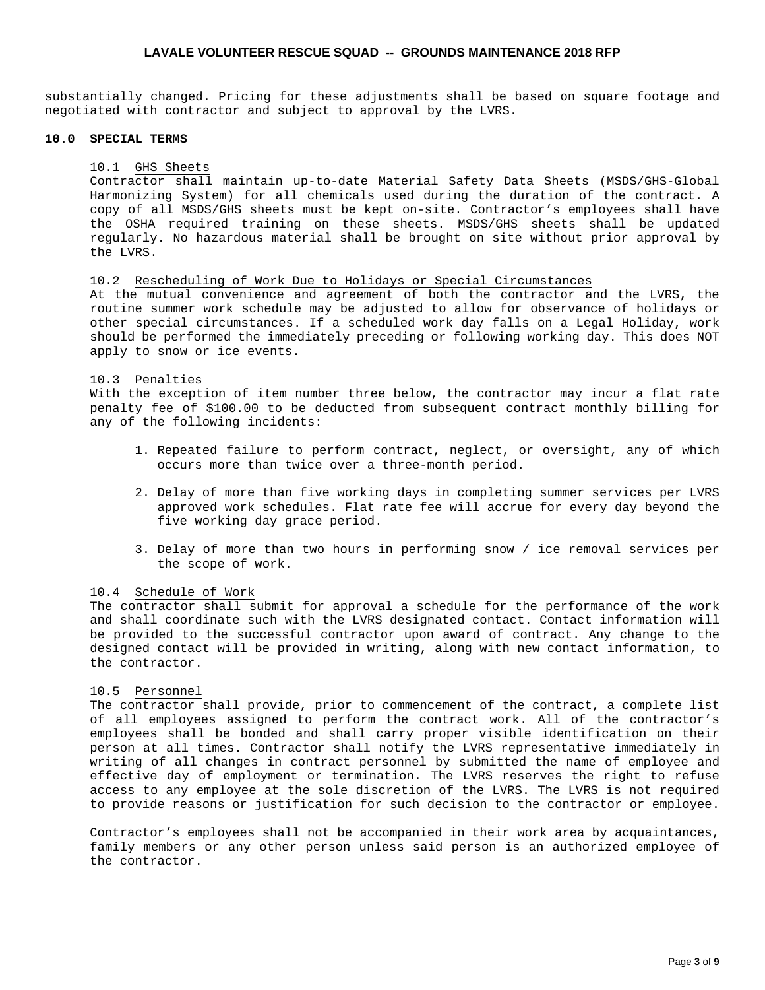substantially changed. Pricing for these adjustments shall be based on square footage and negotiated with contractor and subject to approval by the LVRS.

### **10.0 SPECIAL TERMS**

### 10.1 GHS Sheets

Contractor shall maintain up-to-date Material Safety Data Sheets (MSDS/GHS-Global Harmonizing System) for all chemicals used during the duration of the contract. A copy of all MSDS/GHS sheets must be kept on-site. Contractor's employees shall have the OSHA required training on these sheets. MSDS/GHS sheets shall be updated regularly. No hazardous material shall be brought on site without prior approval by the LVRS.

### 10.2 Rescheduling of Work Due to Holidays or Special Circumstances

At the mutual convenience and agreement of both the contractor and the LVRS, the routine summer work schedule may be adjusted to allow for observance of holidays or other special circumstances. If a scheduled work day falls on a Legal Holiday, work should be performed the immediately preceding or following working day. This does NOT apply to snow or ice events.

## 10.3 Penalties

With the exception of item number three below, the contractor may incur a flat rate penalty fee of \$100.00 to be deducted from subsequent contract monthly billing for any of the following incidents:

- 1. Repeated failure to perform contract, neglect, or oversight, any of which occurs more than twice over a three-month period.
- 2. Delay of more than five working days in completing summer services per LVRS approved work schedules. Flat rate fee will accrue for every day beyond the five working day grace period.
- 3. Delay of more than two hours in performing snow / ice removal services per the scope of work.

## 10.4 Schedule of Work

The contractor shall submit for approval a schedule for the performance of the work and shall coordinate such with the LVRS designated contact. Contact information will be provided to the successful contractor upon award of contract. Any change to the designed contact will be provided in writing, along with new contact information, to the contractor.

### 10.5 Personnel

The contractor shall provide, prior to commencement of the contract, a complete list of all employees assigned to perform the contract work. All of the contractor's employees shall be bonded and shall carry proper visible identification on their person at all times. Contractor shall notify the LVRS representative immediately in writing of all changes in contract personnel by submitted the name of employee and effective day of employment or termination. The LVRS reserves the right to refuse access to any employee at the sole discretion of the LVRS. The LVRS is not required to provide reasons or justification for such decision to the contractor or employee.

Contractor's employees shall not be accompanied in their work area by acquaintances, family members or any other person unless said person is an authorized employee of the contractor.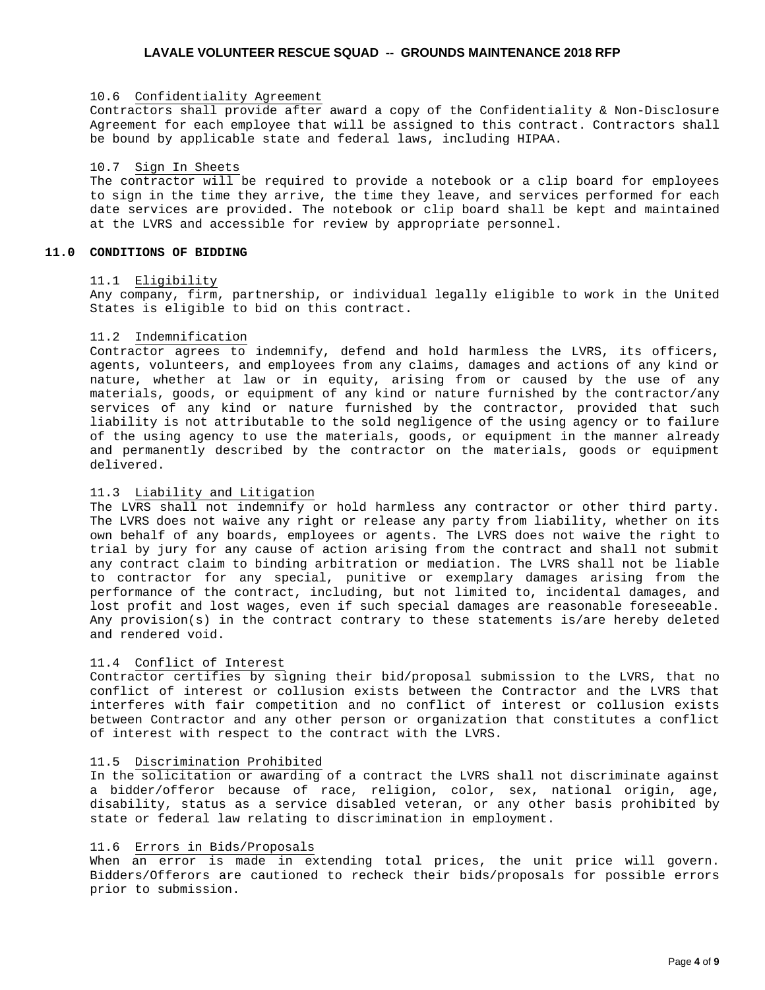## 10.6 Confidentiality Agreement

Contractors shall provide after award a copy of the Confidentiality & Non-Disclosure Agreement for each employee that will be assigned to this contract. Contractors shall be bound by applicable state and federal laws, including HIPAA.

#### 10.7 Sign In Sheets

The contractor will be required to provide a notebook or a clip board for employees to sign in the time they arrive, the time they leave, and services performed for each date services are provided. The notebook or clip board shall be kept and maintained at the LVRS and accessible for review by appropriate personnel.

### **11.0 CONDITIONS OF BIDDING**

### 11.1 Eligibility

Any company, firm, partnership, or individual legally eligible to work in the United States is eligible to bid on this contract.

### 11.2 Indemnification

Contractor agrees to indemnify, defend and hold harmless the LVRS, its officers, agents, volunteers, and employees from any claims, damages and actions of any kind or nature, whether at law or in equity, arising from or caused by the use of any materials, goods, or equipment of any kind or nature furnished by the contractor/any services of any kind or nature furnished by the contractor, provided that such liability is not attributable to the sold negligence of the using agency or to failure of the using agency to use the materials, goods, or equipment in the manner already and permanently described by the contractor on the materials, goods or equipment delivered.

# 11.3 Liability and Litigation

The LVRS shall not indemnify or hold harmless any contractor or other third party. The LVRS does not waive any right or release any party from liability, whether on its own behalf of any boards, employees or agents. The LVRS does not waive the right to trial by jury for any cause of action arising from the contract and shall not submit any contract claim to binding arbitration or mediation. The LVRS shall not be liable to contractor for any special, punitive or exemplary damages arising from the performance of the contract, including, but not limited to, incidental damages, and lost profit and lost wages, even if such special damages are reasonable foreseeable. Any provision(s) in the contract contrary to these statements is/are hereby deleted and rendered void.

#### 11.4 Conflict of Interest

Contractor certifies by signing their bid/proposal submission to the LVRS, that no conflict of interest or collusion exists between the Contractor and the LVRS that interferes with fair competition and no conflict of interest or collusion exists between Contractor and any other person or organization that constitutes a conflict of interest with respect to the contract with the LVRS.

## 11.5 Discrimination Prohibited

In the solicitation or awarding of a contract the LVRS shall not discriminate against a bidder/offeror because of race, religion, color, sex, national origin, age, disability, status as a service disabled veteran, or any other basis prohibited by state or federal law relating to discrimination in employment.

## 11.6 Errors in Bids/Proposals

When an error is made in extending total prices, the unit price will govern. Bidders/Offerors are cautioned to recheck their bids/proposals for possible errors prior to submission.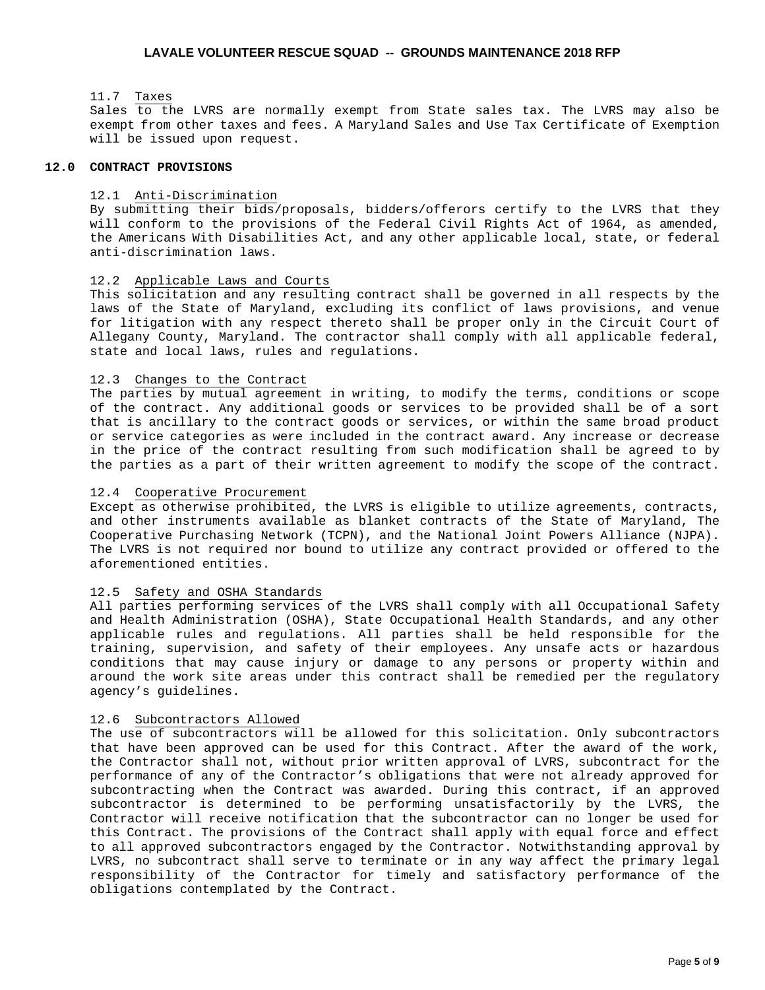### 11.7 Taxes

Sales to the LVRS are normally exempt from State sales tax. The LVRS may also be exempt from other taxes and fees. A Maryland Sales and Use Tax Certificate of Exemption will be issued upon request.

### **12.0 CONTRACT PROVISIONS**

#### 12.1 Anti-Discrimination

By submitting their bids/proposals, bidders/offerors certify to the LVRS that they will conform to the provisions of the Federal Civil Rights Act of 1964, as amended, the Americans With Disabilities Act, and any other applicable local, state, or federal anti-discrimination laws.

### 12.2 Applicable Laws and Courts

This solicitation and any resulting contract shall be governed in all respects by the laws of the State of Maryland, excluding its conflict of laws provisions, and venue for litigation with any respect thereto shall be proper only in the Circuit Court of Allegany County, Maryland. The contractor shall comply with all applicable federal, state and local laws, rules and regulations.

### 12.3 Changes to the Contract

The parties by mutual agreement in writing, to modify the terms, conditions or scope of the contract. Any additional goods or services to be provided shall be of a sort that is ancillary to the contract goods or services, or within the same broad product or service categories as were included in the contract award. Any increase or decrease in the price of the contract resulting from such modification shall be agreed to by the parties as a part of their written agreement to modify the scope of the contract.

#### 12.4 Cooperative Procurement

Except as otherwise prohibited, the LVRS is eligible to utilize agreements, contracts, and other instruments available as blanket contracts of the State of Maryland, The Cooperative Purchasing Network (TCPN), and the National Joint Powers Alliance (NJPA). The LVRS is not required nor bound to utilize any contract provided or offered to the aforementioned entities.

### 12.5 Safety and OSHA Standards

All parties performing services of the LVRS shall comply with all Occupational Safety and Health Administration (OSHA), State Occupational Health Standards, and any other applicable rules and regulations. All parties shall be held responsible for the training, supervision, and safety of their employees. Any unsafe acts or hazardous conditions that may cause injury or damage to any persons or property within and around the work site areas under this contract shall be remedied per the regulatory agency's guidelines.

## 12.6 Subcontractors Allowed

The use of subcontractors will be allowed for this solicitation. Only subcontractors that have been approved can be used for this Contract. After the award of the work, the Contractor shall not, without prior written approval of LVRS, subcontract for the performance of any of the Contractor's obligations that were not already approved for subcontracting when the Contract was awarded. During this contract, if an approved subcontractor is determined to be performing unsatisfactorily by the LVRS, the Contractor will receive notification that the subcontractor can no longer be used for this Contract. The provisions of the Contract shall apply with equal force and effect to all approved subcontractors engaged by the Contractor. Notwithstanding approval by LVRS, no subcontract shall serve to terminate or in any way affect the primary legal responsibility of the Contractor for timely and satisfactory performance of the obligations contemplated by the Contract.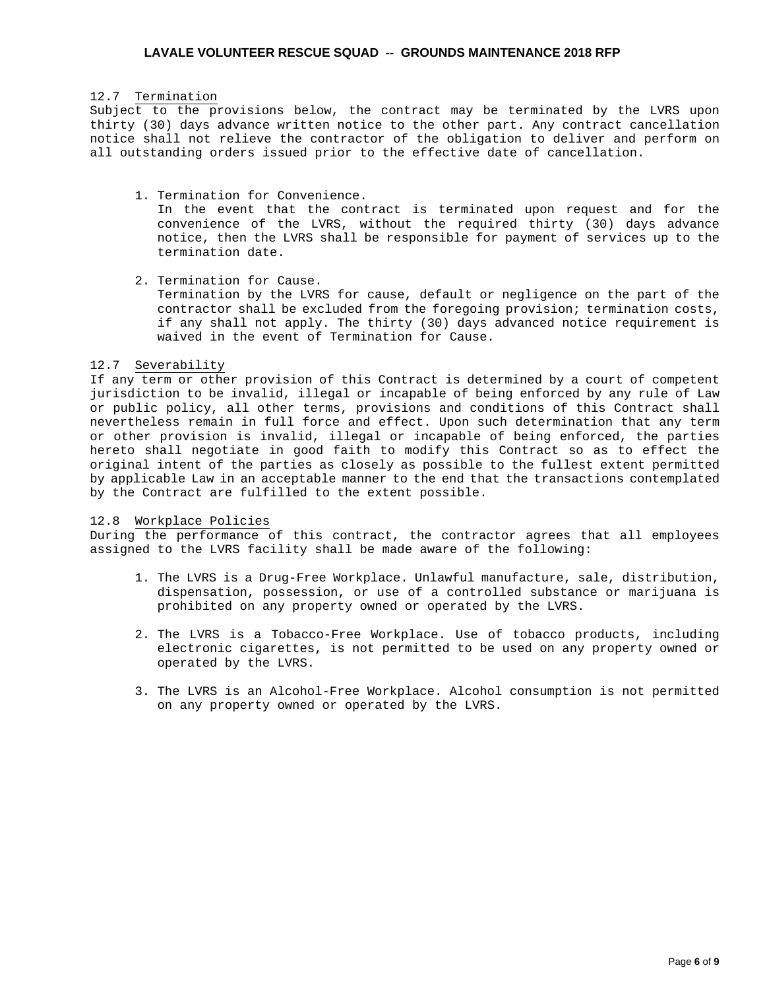### 12.7 Termination

Subject to the provisions below, the contract may be terminated by the LVRS upon thirty (30) days advance written notice to the other part. Any contract cancellation notice shall not relieve the contractor of the obligation to deliver and perform on all outstanding orders issued prior to the effective date of cancellation.

1. Termination for Convenience.

In the event that the contract is terminated upon request and for the convenience of the LVRS, without the required thirty (30) days advance notice, then the LVRS shall be responsible for payment of services up to the termination date.

2. Termination for Cause.

Termination by the LVRS for cause, default or negligence on the part of the contractor shall be excluded from the foregoing provision; termination costs, if any shall not apply. The thirty (30) days advanced notice requirement is waived in the event of Termination for Cause.

### 12.7 Severability

If any term or other provision of this Contract is determined by a court of competent jurisdiction to be invalid, illegal or incapable of being enforced by any rule of Law or public policy, all other terms, provisions and conditions of this Contract shall nevertheless remain in full force and effect. Upon such determination that any term or other provision is invalid, illegal or incapable of being enforced, the parties hereto shall negotiate in good faith to modify this Contract so as to effect the original intent of the parties as closely as possible to the fullest extent permitted by applicable Law in an acceptable manner to the end that the transactions contemplated by the Contract are fulfilled to the extent possible.

### 12.8 Workplace Policies

During the performance of this contract, the contractor agrees that all employees assigned to the LVRS facility shall be made aware of the following:

- 1. The LVRS is a Drug-Free Workplace. Unlawful manufacture, sale, distribution, dispensation, possession, or use of a controlled substance or marijuana is prohibited on any property owned or operated by the LVRS.
- 2. The LVRS is a Tobacco-Free Workplace. Use of tobacco products, including electronic cigarettes, is not permitted to be used on any property owned or operated by the LVRS.
- 3. The LVRS is an Alcohol-Free Workplace. Alcohol consumption is not permitted on any property owned or operated by the LVRS.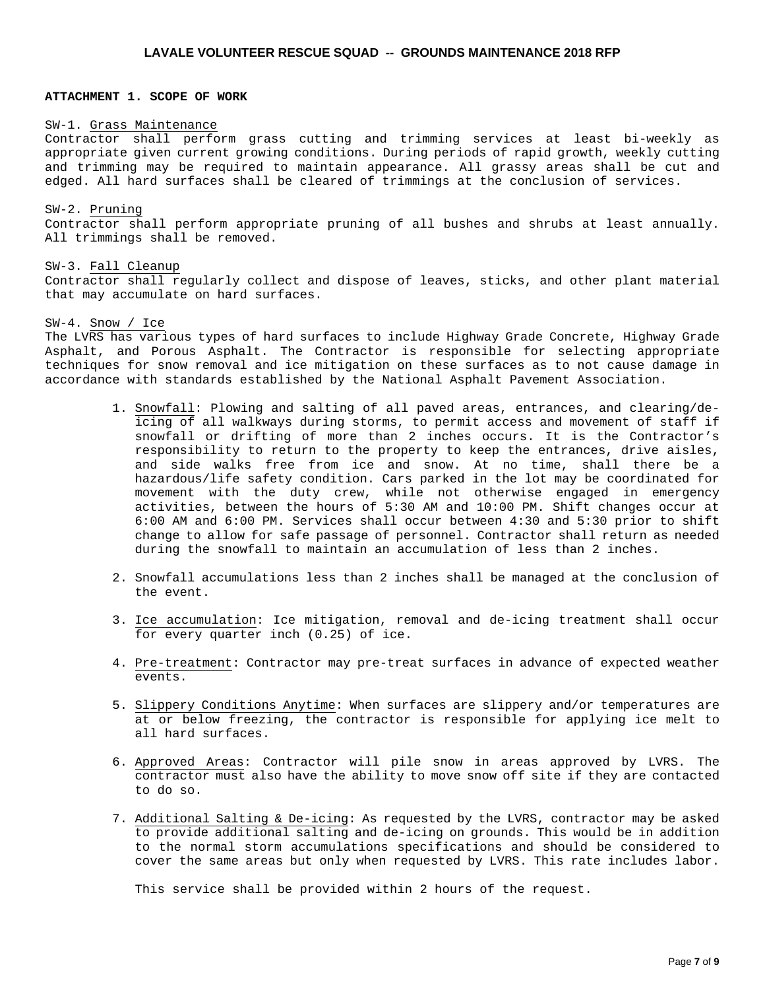## **ATTACHMENT 1. SCOPE OF WORK**

#### SW-1. Grass Maintenance

Contractor shall perform grass cutting and trimming services at least bi-weekly as appropriate given current growing conditions. During periods of rapid growth, weekly cutting and trimming may be required to maintain appearance. All grassy areas shall be cut and edged. All hard surfaces shall be cleared of trimmings at the conclusion of services.

SW-2. Pruning Contractor shall perform appropriate pruning of all bushes and shrubs at least annually. All trimmings shall be removed.

#### SW-3. Fall Cleanup

Contractor shall regularly collect and dispose of leaves, sticks, and other plant material that may accumulate on hard surfaces.

### SW-4. Snow / Ice

The LVRS has various types of hard surfaces to include Highway Grade Concrete, Highway Grade Asphalt, and Porous Asphalt. The Contractor is responsible for selecting appropriate techniques for snow removal and ice mitigation on these surfaces as to not cause damage in accordance with standards established by the National Asphalt Pavement Association.

- 1. Snowfall: Plowing and salting of all paved areas, entrances, and clearing/deicing of all walkways during storms, to permit access and movement of staff if snowfall or drifting of more than 2 inches occurs. It is the Contractor's responsibility to return to the property to keep the entrances, drive aisles, and side walks free from ice and snow. At no time, shall there be a hazardous/life safety condition. Cars parked in the lot may be coordinated for movement with the duty crew, while not otherwise engaged in emergency activities, between the hours of 5:30 AM and 10:00 PM. Shift changes occur at 6:00 AM and 6:00 PM. Services shall occur between 4:30 and 5:30 prior to shift change to allow for safe passage of personnel. Contractor shall return as needed during the snowfall to maintain an accumulation of less than 2 inches.
- 2. Snowfall accumulations less than 2 inches shall be managed at the conclusion of the event.
- 3. Ice accumulation: Ice mitigation, removal and de-icing treatment shall occur for every quarter inch (0.25) of ice.
- 4. Pre-treatment: Contractor may pre-treat surfaces in advance of expected weather events.
- 5. Slippery Conditions Anytime: When surfaces are slippery and/or temperatures are at or below freezing, the contractor is responsible for applying ice melt to all hard surfaces.
- 6. Approved Areas: Contractor will pile snow in areas approved by LVRS. The contractor must also have the ability to move snow off site if they are contacted to do so.
- 7. Additional Salting & De-icing: As requested by the LVRS, contractor may be asked to provide additional salting and de-icing on grounds. This would be in addition to the normal storm accumulations specifications and should be considered to cover the same areas but only when requested by LVRS. This rate includes labor.

This service shall be provided within 2 hours of the request.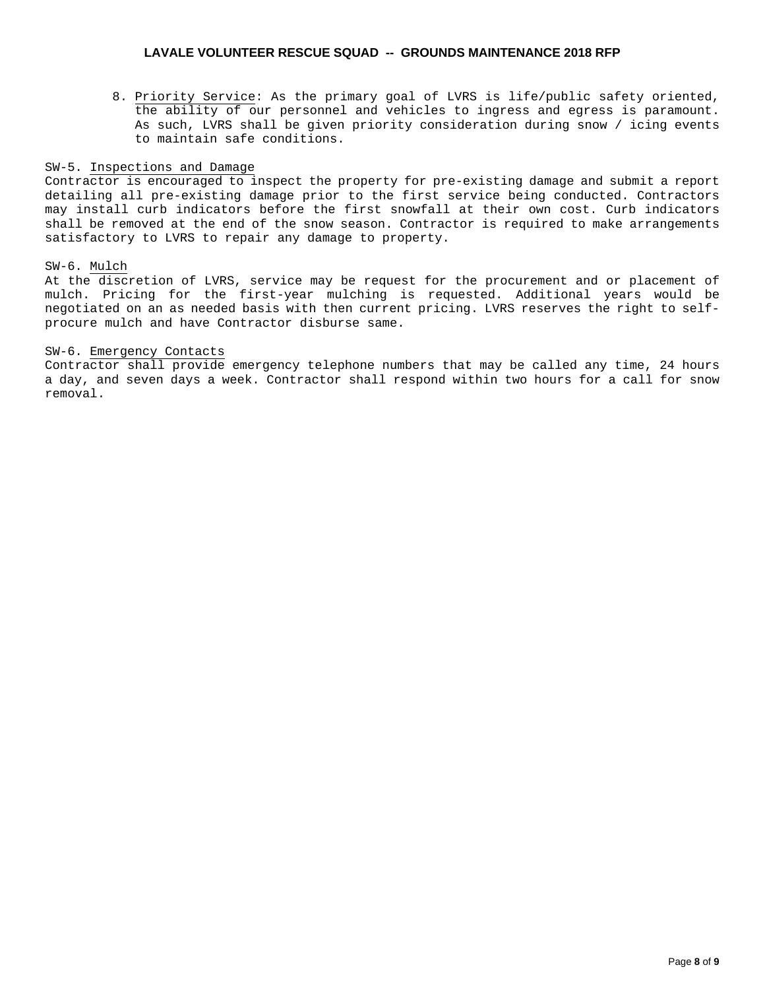8. Priority Service: As the primary goal of LVRS is life/public safety oriented, the ability of our personnel and vehicles to ingress and egress is paramount. As such, LVRS shall be given priority consideration during snow / icing events to maintain safe conditions.

### SW-5. Inspections and Damage

Contractor is encouraged to inspect the property for pre-existing damage and submit a report detailing all pre-existing damage prior to the first service being conducted. Contractors may install curb indicators before the first snowfall at their own cost. Curb indicators shall be removed at the end of the snow season. Contractor is required to make arrangements satisfactory to LVRS to repair any damage to property.

## SW-6. Mulch

At the discretion of LVRS, service may be request for the procurement and or placement of mulch. Pricing for the first-year mulching is requested. Additional years would be negotiated on an as needed basis with then current pricing. LVRS reserves the right to selfprocure mulch and have Contractor disburse same.

## SW-6. Emergency Contacts

Contractor shall provide emergency telephone numbers that may be called any time, 24 hours a day, and seven days a week. Contractor shall respond within two hours for a call for snow removal.